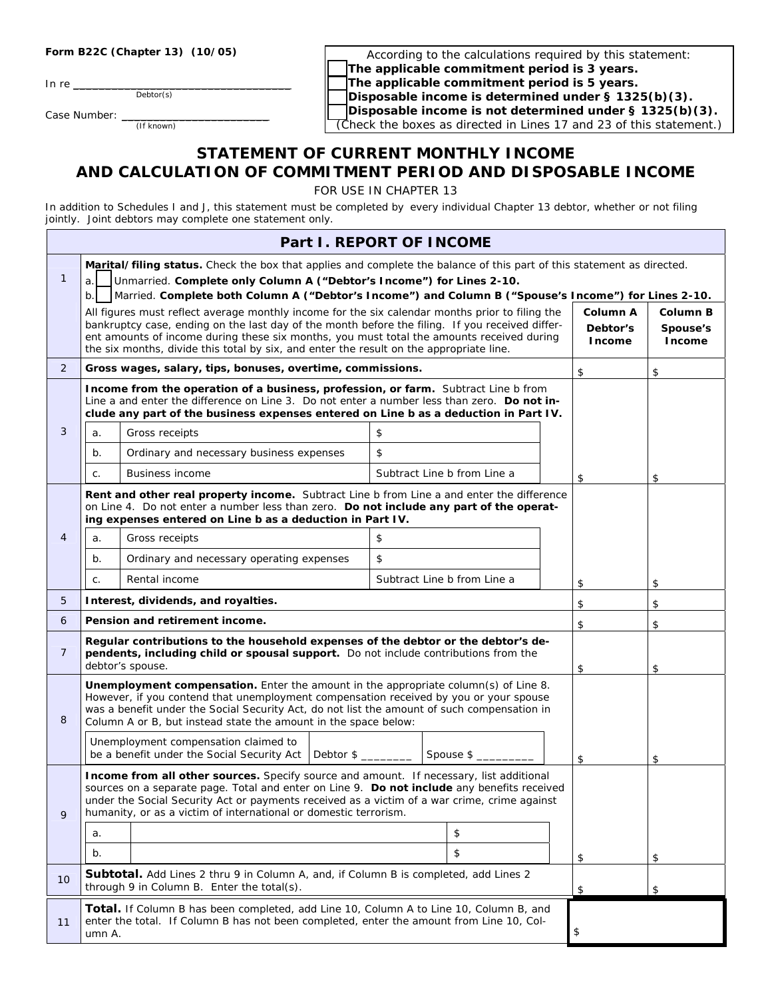|  | Form B22C (Chapter 13) (10/05) |  |
|--|--------------------------------|--|
|--|--------------------------------|--|

In re

Debtor(s)

Case Number: \_ (If known)

According to the calculations required by this statement: The applicable commitment period is 3 years. The applicable commitment period is 5 years. Disposable income is determined under § 1325(b)(3). Disposable income is not determined under § 1325(b)(3). (Check the boxes as directed in Lines 17 and 23 of this statement.)

## **STATEMENT OF CURRENT MONTHLY INCOME AND CALCULATION OF COMMITMENT PERIOD AND DISPOSABLE INCOME**

FOR USE IN CHAPTER 13

In addition to Schedules I and J, this statement must be completed by every individual Chapter 13 debtor, whether or not filing jointly. Joint debtors may complete one statement only.

|                | Part I. REPORT OF INCOME                                                                                                                                                                                                                                                                                                                                                                   |                                                                                                                                                                                                                                                                                                                                                |    |                             |                                       |                                       |    |
|----------------|--------------------------------------------------------------------------------------------------------------------------------------------------------------------------------------------------------------------------------------------------------------------------------------------------------------------------------------------------------------------------------------------|------------------------------------------------------------------------------------------------------------------------------------------------------------------------------------------------------------------------------------------------------------------------------------------------------------------------------------------------|----|-----------------------------|---------------------------------------|---------------------------------------|----|
| 1              | Marital/filing status. Check the box that applies and complete the balance of this part of this statement as directed.<br>Unmarried. Complete only Column A ("Debtor's Income") for Lines 2-10.<br>a.<br>b.<br>Married. Complete both Column A ("Debtor's Income") and Column B ("Spouse's Income") for Lines 2-10.                                                                        |                                                                                                                                                                                                                                                                                                                                                |    |                             |                                       |                                       |    |
|                | All figures must reflect average monthly income for the six calendar months prior to filing the<br>bankruptcy case, ending on the last day of the month before the filing. If you received differ-<br>ent amounts of income during these six months, you must total the amounts received during<br>the six months, divide this total by six, and enter the result on the appropriate line. |                                                                                                                                                                                                                                                                                                                                                |    |                             | Column A<br>Debtor's<br><b>Income</b> | <b>Column B</b><br>Spouse's<br>Income |    |
| $\overline{2}$ |                                                                                                                                                                                                                                                                                                                                                                                            | Gross wages, salary, tips, bonuses, overtime, commissions.                                                                                                                                                                                                                                                                                     |    |                             |                                       | \$                                    | \$ |
|                |                                                                                                                                                                                                                                                                                                                                                                                            | Income from the operation of a business, profession, or farm. Subtract Line b from<br>Line a and enter the difference on Line 3. Do not enter a number less than zero. Do not in-<br>clude any part of the business expenses entered on Line b as a deduction in Part IV.                                                                      |    |                             |                                       |                                       |    |
| 3              | a.                                                                                                                                                                                                                                                                                                                                                                                         | Gross receipts                                                                                                                                                                                                                                                                                                                                 | \$ |                             |                                       |                                       |    |
|                | b.                                                                                                                                                                                                                                                                                                                                                                                         | Ordinary and necessary business expenses                                                                                                                                                                                                                                                                                                       | \$ |                             |                                       |                                       |    |
|                | C.                                                                                                                                                                                                                                                                                                                                                                                         | <b>Business income</b>                                                                                                                                                                                                                                                                                                                         |    | Subtract Line b from Line a |                                       | \$                                    | \$ |
|                |                                                                                                                                                                                                                                                                                                                                                                                            | Rent and other real property income. Subtract Line b from Line a and enter the difference<br>on Line 4. Do not enter a number less than zero. Do not include any part of the operat-<br>ing expenses entered on Line b as a deduction in Part IV.                                                                                              |    |                             |                                       |                                       |    |
| 4              | a.                                                                                                                                                                                                                                                                                                                                                                                         | Gross receipts                                                                                                                                                                                                                                                                                                                                 | \$ |                             |                                       |                                       |    |
|                | b.                                                                                                                                                                                                                                                                                                                                                                                         | Ordinary and necessary operating expenses                                                                                                                                                                                                                                                                                                      | \$ |                             |                                       |                                       |    |
|                | C.                                                                                                                                                                                                                                                                                                                                                                                         | Rental income                                                                                                                                                                                                                                                                                                                                  |    | Subtract Line b from Line a |                                       | \$                                    | \$ |
| 5              |                                                                                                                                                                                                                                                                                                                                                                                            | Interest, dividends, and royalties.                                                                                                                                                                                                                                                                                                            |    |                             |                                       | \$                                    | \$ |
| 6              | Pension and retirement income.                                                                                                                                                                                                                                                                                                                                                             |                                                                                                                                                                                                                                                                                                                                                |    |                             | \$                                    | \$                                    |    |
| 7              | Regular contributions to the household expenses of the debtor or the debtor's de-<br>pendents, including child or spousal support. Do not include contributions from the<br>debtor's spouse.                                                                                                                                                                                               |                                                                                                                                                                                                                                                                                                                                                |    |                             | \$                                    | \$                                    |    |
| 8              |                                                                                                                                                                                                                                                                                                                                                                                            | Unemployment compensation. Enter the amount in the appropriate column(s) of Line 8.<br>However, if you contend that unemployment compensation received by you or your spouse<br>was a benefit under the Social Security Act, do not list the amount of such compensation in<br>Column A or B, but instead state the amount in the space below: |    |                             |                                       |                                       |    |
|                |                                                                                                                                                                                                                                                                                                                                                                                            | Unemployment compensation claimed to<br>be a benefit under the Social Security Act<br>Debtor $\frac{1}{2}$                                                                                                                                                                                                                                     |    | Spouse \$                   |                                       | \$                                    | \$ |
| 9              | Income from all other sources. Specify source and amount. If necessary, list additional<br>sources on a separate page. Total and enter on Line 9. Do not include any benefits received<br>under the Social Security Act or payments received as a victim of a war crime, crime against<br>humanity, or as a victim of international or domestic terrorism.                                 |                                                                                                                                                                                                                                                                                                                                                |    |                             |                                       |                                       |    |
|                | a.                                                                                                                                                                                                                                                                                                                                                                                         |                                                                                                                                                                                                                                                                                                                                                |    | \$                          |                                       |                                       |    |
|                | b.                                                                                                                                                                                                                                                                                                                                                                                         |                                                                                                                                                                                                                                                                                                                                                |    | \$                          |                                       | \$                                    | \$ |
| 10             | <b>Subtotal.</b> Add Lines 2 thru 9 in Column A, and, if Column B is completed, add Lines 2<br>through 9 in Column B. Enter the total(s).<br>\$<br>\$                                                                                                                                                                                                                                      |                                                                                                                                                                                                                                                                                                                                                |    |                             |                                       |                                       |    |
| 11             | <b>Total.</b> If Column B has been completed, add Line 10, Column A to Line 10, Column B, and<br>enter the total. If Column B has not been completed, enter the amount from Line 10, Col-<br>\$<br>umn A.                                                                                                                                                                                  |                                                                                                                                                                                                                                                                                                                                                |    |                             |                                       |                                       |    |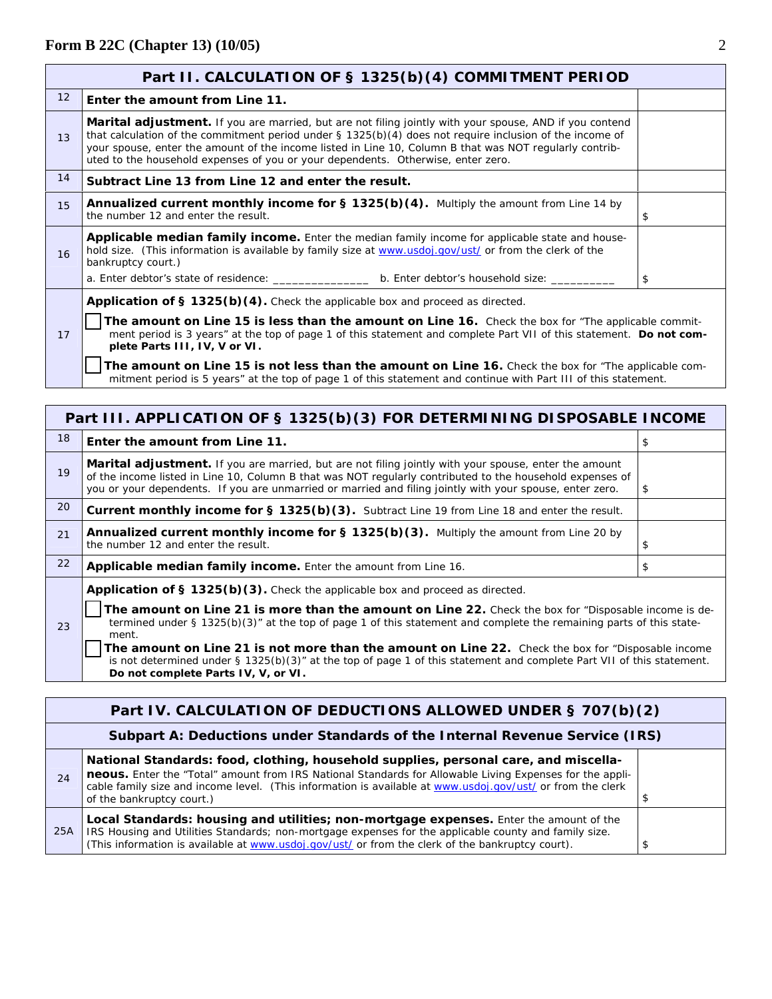|                                                                                                                                                                                                                                                                                                                                                                                                                                                                                                                                                                                       | Part II. CALCULATION OF § 1325(b)(4) COMMITMENT PERIOD                                                                                                                                                                                                                                                                                                                                                                |    |  |  |  |
|---------------------------------------------------------------------------------------------------------------------------------------------------------------------------------------------------------------------------------------------------------------------------------------------------------------------------------------------------------------------------------------------------------------------------------------------------------------------------------------------------------------------------------------------------------------------------------------|-----------------------------------------------------------------------------------------------------------------------------------------------------------------------------------------------------------------------------------------------------------------------------------------------------------------------------------------------------------------------------------------------------------------------|----|--|--|--|
| $12 \overline{ }$                                                                                                                                                                                                                                                                                                                                                                                                                                                                                                                                                                     | Enter the amount from Line 11.                                                                                                                                                                                                                                                                                                                                                                                        |    |  |  |  |
| 13                                                                                                                                                                                                                                                                                                                                                                                                                                                                                                                                                                                    | Marital adjustment. If you are married, but are not filing jointly with your spouse, AND if you contend<br>that calculation of the commitment period under $\S$ 1325(b)(4) does not require inclusion of the income of<br>your spouse, enter the amount of the income listed in Line 10, Column B that was NOT regularly contrib-<br>uted to the household expenses of you or your dependents. Otherwise, enter zero. |    |  |  |  |
| 14                                                                                                                                                                                                                                                                                                                                                                                                                                                                                                                                                                                    | Subtract Line 13 from Line 12 and enter the result.                                                                                                                                                                                                                                                                                                                                                                   |    |  |  |  |
| 15                                                                                                                                                                                                                                                                                                                                                                                                                                                                                                                                                                                    | <b>Annualized current monthly income for <math>\S</math> 1325(b)(4).</b> Multiply the amount from Line 14 by<br>the number 12 and enter the result.                                                                                                                                                                                                                                                                   | \$ |  |  |  |
| 16                                                                                                                                                                                                                                                                                                                                                                                                                                                                                                                                                                                    | <b>Applicable median family income.</b> Enter the median family income for applicable state and house-<br>hold size. (This information is available by family size at www.usdoj.gov/ust/ or from the clerk of the<br>bankruptcy court.)                                                                                                                                                                               |    |  |  |  |
|                                                                                                                                                                                                                                                                                                                                                                                                                                                                                                                                                                                       |                                                                                                                                                                                                                                                                                                                                                                                                                       | \$ |  |  |  |
| <b>Application of § 1325(b)(4).</b> Check the applicable box and proceed as directed.<br>The amount on Line 15 is less than the amount on Line 16. Check the box for "The applicable commit-<br>ment period is 3 years" at the top of page 1 of this statement and complete Part VII of this statement. Do not com-<br>17<br>plete Parts III, IV, V or VI.<br>The amount on Line 15 is not less than the amount on Line 16. Check the box for "The applicable com-<br>mitment period is 5 years" at the top of page 1 of this statement and continue with Part III of this statement. |                                                                                                                                                                                                                                                                                                                                                                                                                       |    |  |  |  |

|    | Part III. APPLICATION OF § 1325(b)(3) FOR DETERMINING DISPOSABLE INCOME                                                                                                                                                                                                                                                               |    |  |  |  |
|----|---------------------------------------------------------------------------------------------------------------------------------------------------------------------------------------------------------------------------------------------------------------------------------------------------------------------------------------|----|--|--|--|
| 18 | Enter the amount from Line 11.                                                                                                                                                                                                                                                                                                        | \$ |  |  |  |
| 19 | <b>Marital adjustment.</b> If you are married, but are not filing jointly with your spouse, enter the amount<br>of the income listed in Line 10, Column B that was NOT regularly contributed to the household expenses of<br>you or your dependents. If you are unmarried or married and filing jointly with your spouse, enter zero. | \$ |  |  |  |
| 20 | Current monthly income for § 1325(b)(3). Subtract Line 19 from Line 18 and enter the result.                                                                                                                                                                                                                                          |    |  |  |  |
| 21 | Annualized current monthly income for § 1325(b)(3). Multiply the amount from Line 20 by<br>the number 12 and enter the result.                                                                                                                                                                                                        | \$ |  |  |  |
| 22 | Applicable median family income. Enter the amount from Line 16.                                                                                                                                                                                                                                                                       | \$ |  |  |  |
|    | <b>Application of § 1325(b)(3).</b> Check the applicable box and proceed as directed.                                                                                                                                                                                                                                                 |    |  |  |  |
| 23 | The amount on Line 21 is more than the amount on Line 22. Check the box for "Disposable income is de-<br>termined under § 1325(b)(3)" at the top of page 1 of this statement and complete the remaining parts of this state-                                                                                                          |    |  |  |  |

ment. **The amount on Line 21 is not more than the amount on Line 22.** Check the box for "Disposable income is not determined under § 1325(b)(3)" at the top of page 1 of this statement and complete Part VII of this statement. **Do not complete Parts IV, V, or VI.**

|                                                                             | Part IV. CALCULATION OF DEDUCTIONS ALLOWED UNDER § 707(b)(2)                                                                                                                                                                                                                                                                                |  |  |  |  |
|-----------------------------------------------------------------------------|---------------------------------------------------------------------------------------------------------------------------------------------------------------------------------------------------------------------------------------------------------------------------------------------------------------------------------------------|--|--|--|--|
| Subpart A: Deductions under Standards of the Internal Revenue Service (IRS) |                                                                                                                                                                                                                                                                                                                                             |  |  |  |  |
| 24                                                                          | National Standards: food, clothing, household supplies, personal care, and miscella-<br>neous. Enter the "Total" amount from IRS National Standards for Allowable Living Expenses for the appli-<br>cable family size and income level. (This information is available at www.usdoj.gov/ust/ or from the clerk<br>of the bankruptcy court.) |  |  |  |  |
| 25A                                                                         | Local Standards: housing and utilities; non-mortgage expenses. Enter the amount of the<br>IRS Housing and Utilities Standards; non-mortgage expenses for the applicable county and family size.<br>(This information is available at www.usdoj.gov/ust/ or from the clerk of the bankruptcy court).                                         |  |  |  |  |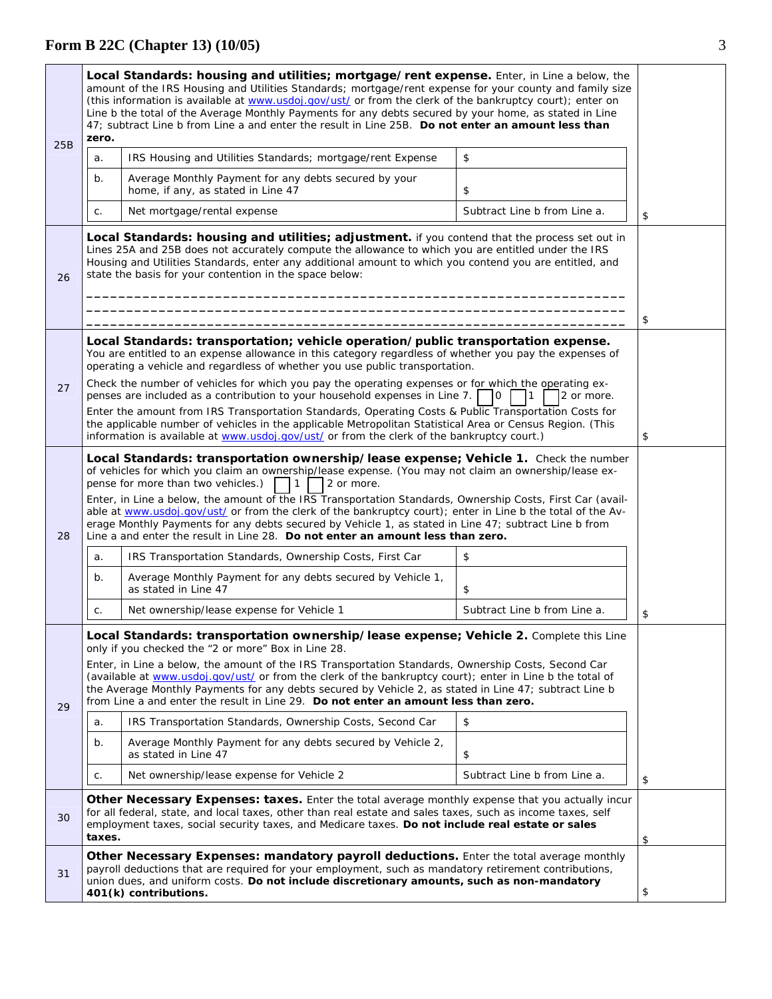## **Form B 22C (Chapter 13) (10/05)** 3

| 25B                                                                                                                                                                                                                                                                                                                                                                                                                                                                                                                                                                                                                                                                                             | Local Standards: housing and utilities; mortgage/rent expense. Enter, in Line a below, the<br>amount of the IRS Housing and Utilities Standards; mortgage/rent expense for your county and family size<br>(this information is available at www.usdoj.gov/ust/ or from the clerk of the bankruptcy court); enter on<br>Line b the total of the Average Monthly Payments for any debts secured by your home, as stated in Line<br>47; subtract Line b from Line a and enter the result in Line 25B. Do not enter an amount less than<br>zero. |                                                                                                                                                                                                                                                                                                                                                                             |                              |    |
|-------------------------------------------------------------------------------------------------------------------------------------------------------------------------------------------------------------------------------------------------------------------------------------------------------------------------------------------------------------------------------------------------------------------------------------------------------------------------------------------------------------------------------------------------------------------------------------------------------------------------------------------------------------------------------------------------|----------------------------------------------------------------------------------------------------------------------------------------------------------------------------------------------------------------------------------------------------------------------------------------------------------------------------------------------------------------------------------------------------------------------------------------------------------------------------------------------------------------------------------------------|-----------------------------------------------------------------------------------------------------------------------------------------------------------------------------------------------------------------------------------------------------------------------------------------------------------------------------------------------------------------------------|------------------------------|----|
|                                                                                                                                                                                                                                                                                                                                                                                                                                                                                                                                                                                                                                                                                                 | a.                                                                                                                                                                                                                                                                                                                                                                                                                                                                                                                                           | IRS Housing and Utilities Standards; mortgage/rent Expense                                                                                                                                                                                                                                                                                                                  | \$                           |    |
|                                                                                                                                                                                                                                                                                                                                                                                                                                                                                                                                                                                                                                                                                                 | b.                                                                                                                                                                                                                                                                                                                                                                                                                                                                                                                                           | Average Monthly Payment for any debts secured by your<br>home, if any, as stated in Line 47                                                                                                                                                                                                                                                                                 | \$                           |    |
|                                                                                                                                                                                                                                                                                                                                                                                                                                                                                                                                                                                                                                                                                                 | C.                                                                                                                                                                                                                                                                                                                                                                                                                                                                                                                                           | Net mortgage/rental expense                                                                                                                                                                                                                                                                                                                                                 | Subtract Line b from Line a. | \$ |
| 26                                                                                                                                                                                                                                                                                                                                                                                                                                                                                                                                                                                                                                                                                              |                                                                                                                                                                                                                                                                                                                                                                                                                                                                                                                                              | Local Standards: housing and utilities; adjustment. if you contend that the process set out in<br>Lines 25A and 25B does not accurately compute the allowance to which you are entitled under the IRS<br>Housing and Utilities Standards, enter any additional amount to which you contend you are entitled, and<br>state the basis for your contention in the space below: |                              | \$ |
|                                                                                                                                                                                                                                                                                                                                                                                                                                                                                                                                                                                                                                                                                                 |                                                                                                                                                                                                                                                                                                                                                                                                                                                                                                                                              | Local Standards: transportation; vehicle operation/public transportation expense.                                                                                                                                                                                                                                                                                           |                              |    |
|                                                                                                                                                                                                                                                                                                                                                                                                                                                                                                                                                                                                                                                                                                 |                                                                                                                                                                                                                                                                                                                                                                                                                                                                                                                                              | You are entitled to an expense allowance in this category regardless of whether you pay the expenses of<br>operating a vehicle and regardless of whether you use public transportation.                                                                                                                                                                                     |                              |    |
| 27                                                                                                                                                                                                                                                                                                                                                                                                                                                                                                                                                                                                                                                                                              |                                                                                                                                                                                                                                                                                                                                                                                                                                                                                                                                              | Check the number of vehicles for which you pay the operating expenses or for which the operating ex-<br>penses are included as a contribution to your household expenses in Line 7.                                                                                                                                                                                         | 2 or more.<br>0              |    |
|                                                                                                                                                                                                                                                                                                                                                                                                                                                                                                                                                                                                                                                                                                 |                                                                                                                                                                                                                                                                                                                                                                                                                                                                                                                                              | Enter the amount from IRS Transportation Standards, Operating Costs & Public Transportation Costs for                                                                                                                                                                                                                                                                       |                              |    |
|                                                                                                                                                                                                                                                                                                                                                                                                                                                                                                                                                                                                                                                                                                 | the applicable number of vehicles in the applicable Metropolitan Statistical Area or Census Region. (This<br>information is available at www.usdoj.gov/ust/ or from the clerk of the bankruptcy court.)                                                                                                                                                                                                                                                                                                                                      |                                                                                                                                                                                                                                                                                                                                                                             |                              |    |
| Local Standards: transportation ownership/lease expense; Vehicle 1. Check the number<br>of vehicles for which you claim an ownership/lease expense. (You may not claim an ownership/lease ex-<br>pense for more than two vehicles.)<br>$\mathbf{1}$<br>2 or more.<br>Enter, in Line a below, the amount of the IRS Transportation Standards, Ownership Costs, First Car (avail-<br>able at www.usdoj.gov/ust/ or from the clerk of the bankruptcy court); enter in Line b the total of the Av-<br>erage Monthly Payments for any debts secured by Vehicle 1, as stated in Line 47; subtract Line b from<br>28<br>Line a and enter the result in Line 28. Do not enter an amount less than zero. |                                                                                                                                                                                                                                                                                                                                                                                                                                                                                                                                              |                                                                                                                                                                                                                                                                                                                                                                             |                              |    |
|                                                                                                                                                                                                                                                                                                                                                                                                                                                                                                                                                                                                                                                                                                 | a.                                                                                                                                                                                                                                                                                                                                                                                                                                                                                                                                           | IRS Transportation Standards, Ownership Costs, First Car                                                                                                                                                                                                                                                                                                                    | \$                           |    |
|                                                                                                                                                                                                                                                                                                                                                                                                                                                                                                                                                                                                                                                                                                 | b.                                                                                                                                                                                                                                                                                                                                                                                                                                                                                                                                           | Average Monthly Payment for any debts secured by Vehicle 1,<br>as stated in Line 47                                                                                                                                                                                                                                                                                         | \$                           |    |
|                                                                                                                                                                                                                                                                                                                                                                                                                                                                                                                                                                                                                                                                                                 | C.                                                                                                                                                                                                                                                                                                                                                                                                                                                                                                                                           | Net ownership/lease expense for Vehicle 1                                                                                                                                                                                                                                                                                                                                   | Subtract Line b from Line a. | \$ |
|                                                                                                                                                                                                                                                                                                                                                                                                                                                                                                                                                                                                                                                                                                 |                                                                                                                                                                                                                                                                                                                                                                                                                                                                                                                                              | Local Standards: transportation ownership/lease expense; Vehicle 2. Complete this Line<br>only if you checked the "2 or more" Box in Line 28.<br>Enter, in Line a below, the amount of the IRS Transportation Standards, Ownership Costs, Second Car                                                                                                                        |                              |    |
| 29                                                                                                                                                                                                                                                                                                                                                                                                                                                                                                                                                                                                                                                                                              |                                                                                                                                                                                                                                                                                                                                                                                                                                                                                                                                              | (available at www.usdoj.gov/ust/ or from the clerk of the bankruptcy court); enter in Line b the total of<br>the Average Monthly Payments for any debts secured by Vehicle 2, as stated in Line 47; subtract Line b<br>from Line a and enter the result in Line 29. Do not enter an amount less than zero.                                                                  |                              |    |
|                                                                                                                                                                                                                                                                                                                                                                                                                                                                                                                                                                                                                                                                                                 | a.                                                                                                                                                                                                                                                                                                                                                                                                                                                                                                                                           | IRS Transportation Standards, Ownership Costs, Second Car                                                                                                                                                                                                                                                                                                                   | \$                           |    |
|                                                                                                                                                                                                                                                                                                                                                                                                                                                                                                                                                                                                                                                                                                 | b.                                                                                                                                                                                                                                                                                                                                                                                                                                                                                                                                           | Average Monthly Payment for any debts secured by Vehicle 2,<br>as stated in Line 47                                                                                                                                                                                                                                                                                         | \$                           |    |
|                                                                                                                                                                                                                                                                                                                                                                                                                                                                                                                                                                                                                                                                                                 | C.                                                                                                                                                                                                                                                                                                                                                                                                                                                                                                                                           | Net ownership/lease expense for Vehicle 2                                                                                                                                                                                                                                                                                                                                   | Subtract Line b from Line a. | \$ |
| 30                                                                                                                                                                                                                                                                                                                                                                                                                                                                                                                                                                                                                                                                                              | Other Necessary Expenses: taxes. Enter the total average monthly expense that you actually incur<br>for all federal, state, and local taxes, other than real estate and sales taxes, such as income taxes, self<br>employment taxes, social security taxes, and Medicare taxes. Do not include real estate or sales<br>taxes.                                                                                                                                                                                                                |                                                                                                                                                                                                                                                                                                                                                                             |                              | \$ |
| 31                                                                                                                                                                                                                                                                                                                                                                                                                                                                                                                                                                                                                                                                                              | Other Necessary Expenses: mandatory payroll deductions. Enter the total average monthly<br>payroll deductions that are required for your employment, such as mandatory retirement contributions,<br>union dues, and uniform costs. Do not include discretionary amounts, such as non-mandatory<br>401(k) contributions.                                                                                                                                                                                                                      |                                                                                                                                                                                                                                                                                                                                                                             |                              | \$ |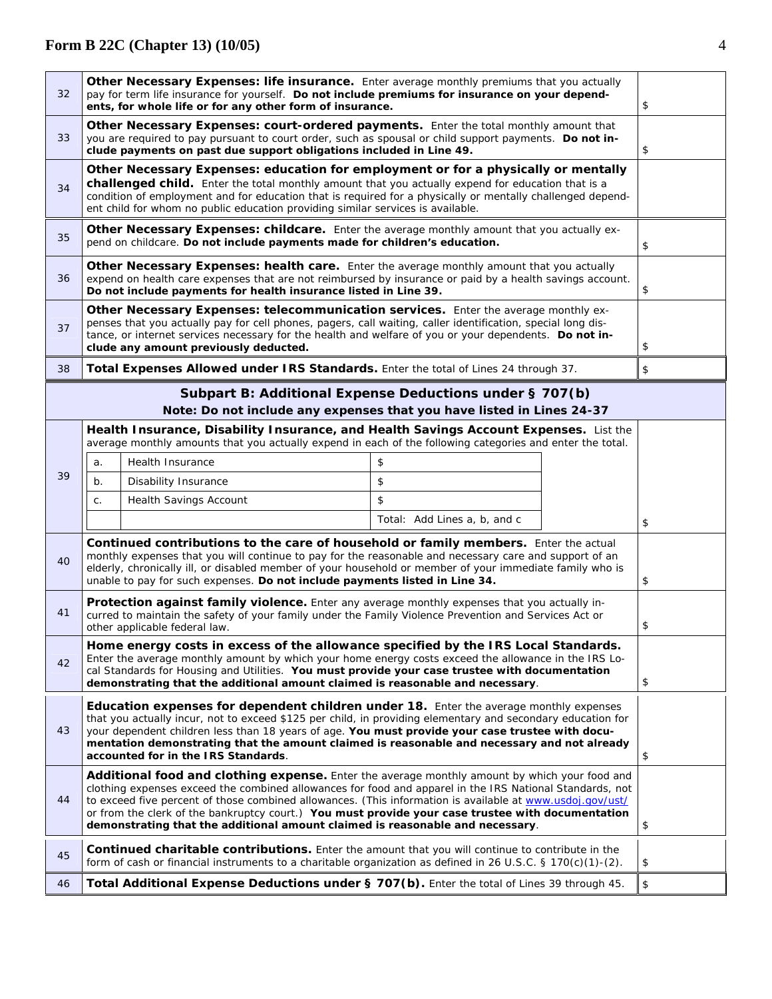| 32                                                                                                                                                                                                                                                                                                                                                                                                                                                                                                                 | Other Necessary Expenses: life insurance. Enter average monthly premiums that you actually<br>pay for term life insurance for yourself. Do not include premiums for insurance on your depend-                                                                                                                                      |                                                                                                                                                                                                                                                                                                                                                                                           |                              | \$ |    |
|--------------------------------------------------------------------------------------------------------------------------------------------------------------------------------------------------------------------------------------------------------------------------------------------------------------------------------------------------------------------------------------------------------------------------------------------------------------------------------------------------------------------|------------------------------------------------------------------------------------------------------------------------------------------------------------------------------------------------------------------------------------------------------------------------------------------------------------------------------------|-------------------------------------------------------------------------------------------------------------------------------------------------------------------------------------------------------------------------------------------------------------------------------------------------------------------------------------------------------------------------------------------|------------------------------|----|----|
| 33                                                                                                                                                                                                                                                                                                                                                                                                                                                                                                                 | ents, for whole life or for any other form of insurance.<br>Other Necessary Expenses: court-ordered payments. Enter the total monthly amount that<br>you are required to pay pursuant to court order, such as spousal or child support payments. Do not in-<br>clude payments on past due support obligations included in Line 49. |                                                                                                                                                                                                                                                                                                                                                                                           |                              | \$ |    |
| Other Necessary Expenses: education for employment or for a physically or mentally<br>challenged child. Enter the total monthly amount that you actually expend for education that is a<br>34<br>condition of employment and for education that is required for a physically or mentally challenged depend-<br>ent child for whom no public education providing similar services is available.                                                                                                                     |                                                                                                                                                                                                                                                                                                                                    |                                                                                                                                                                                                                                                                                                                                                                                           |                              |    |    |
| 35                                                                                                                                                                                                                                                                                                                                                                                                                                                                                                                 |                                                                                                                                                                                                                                                                                                                                    | Other Necessary Expenses: childcare. Enter the average monthly amount that you actually ex-<br>pend on childcare. Do not include payments made for children's education.                                                                                                                                                                                                                  |                              |    | \$ |
| 36                                                                                                                                                                                                                                                                                                                                                                                                                                                                                                                 |                                                                                                                                                                                                                                                                                                                                    | Other Necessary Expenses: health care. Enter the average monthly amount that you actually<br>expend on health care expenses that are not reimbursed by insurance or paid by a health savings account.<br>Do not include payments for health insurance listed in Line 39.                                                                                                                  |                              |    | \$ |
| 37                                                                                                                                                                                                                                                                                                                                                                                                                                                                                                                 |                                                                                                                                                                                                                                                                                                                                    | Other Necessary Expenses: telecommunication services. Enter the average monthly ex-<br>penses that you actually pay for cell phones, pagers, call waiting, caller identification, special long dis-<br>tance, or internet services necessary for the health and welfare of you or your dependents. Do not in-<br>clude any amount previously deducted.                                    |                              |    | \$ |
| 38                                                                                                                                                                                                                                                                                                                                                                                                                                                                                                                 |                                                                                                                                                                                                                                                                                                                                    | Total Expenses Allowed under IRS Standards. Enter the total of Lines 24 through 37.                                                                                                                                                                                                                                                                                                       |                              |    | \$ |
|                                                                                                                                                                                                                                                                                                                                                                                                                                                                                                                    |                                                                                                                                                                                                                                                                                                                                    | Subpart B: Additional Expense Deductions under § 707(b)                                                                                                                                                                                                                                                                                                                                   |                              |    |    |
|                                                                                                                                                                                                                                                                                                                                                                                                                                                                                                                    |                                                                                                                                                                                                                                                                                                                                    | Note: Do not include any expenses that you have listed in Lines 24-37                                                                                                                                                                                                                                                                                                                     |                              |    |    |
|                                                                                                                                                                                                                                                                                                                                                                                                                                                                                                                    | Health Insurance, Disability Insurance, and Health Savings Account Expenses. List the<br>average monthly amounts that you actually expend in each of the following categories and enter the total.                                                                                                                                 |                                                                                                                                                                                                                                                                                                                                                                                           |                              |    |    |
|                                                                                                                                                                                                                                                                                                                                                                                                                                                                                                                    | a.                                                                                                                                                                                                                                                                                                                                 | Health Insurance                                                                                                                                                                                                                                                                                                                                                                          | \$                           |    |    |
| 39                                                                                                                                                                                                                                                                                                                                                                                                                                                                                                                 | b.                                                                                                                                                                                                                                                                                                                                 | Disability Insurance                                                                                                                                                                                                                                                                                                                                                                      | \$                           |    |    |
|                                                                                                                                                                                                                                                                                                                                                                                                                                                                                                                    | C.                                                                                                                                                                                                                                                                                                                                 | Health Savings Account                                                                                                                                                                                                                                                                                                                                                                    | \$                           |    |    |
|                                                                                                                                                                                                                                                                                                                                                                                                                                                                                                                    |                                                                                                                                                                                                                                                                                                                                    |                                                                                                                                                                                                                                                                                                                                                                                           | Total: Add Lines a, b, and c |    | \$ |
| 40                                                                                                                                                                                                                                                                                                                                                                                                                                                                                                                 |                                                                                                                                                                                                                                                                                                                                    | Continued contributions to the care of household or family members. Enter the actual<br>monthly expenses that you will continue to pay for the reasonable and necessary care and support of an<br>elderly, chronically ill, or disabled member of your household or member of your immediate family who is<br>unable to pay for such expenses. Do not include payments listed in Line 34. |                              |    | \$ |
| Protection against family violence. Enter any average monthly expenses that you actually in-<br>41<br>curred to maintain the safety of your family under the Family Violence Prevention and Services Act or<br>other applicable federal law.                                                                                                                                                                                                                                                                       |                                                                                                                                                                                                                                                                                                                                    |                                                                                                                                                                                                                                                                                                                                                                                           |                              | \$ |    |
| Home energy costs in excess of the allowance specified by the IRS Local Standards.<br>Enter the average monthly amount by which your home energy costs exceed the allowance in the IRS Lo-<br>42<br>cal Standards for Housing and Utilities. You must provide your case trustee with documentation<br>demonstrating that the additional amount claimed is reasonable and necessary.                                                                                                                                |                                                                                                                                                                                                                                                                                                                                    |                                                                                                                                                                                                                                                                                                                                                                                           |                              | \$ |    |
| <b>Education expenses for dependent children under 18.</b> Enter the average monthly expenses<br>that you actually incur, not to exceed \$125 per child, in providing elementary and secondary education for<br>43<br>your dependent children less than 18 years of age. You must provide your case trustee with docu-<br>mentation demonstrating that the amount claimed is reasonable and necessary and not already<br>accounted for in the IRS Standards.                                                       |                                                                                                                                                                                                                                                                                                                                    |                                                                                                                                                                                                                                                                                                                                                                                           | \$                           |    |    |
| Additional food and clothing expense. Enter the average monthly amount by which your food and<br>clothing expenses exceed the combined allowances for food and apparel in the IRS National Standards, not<br>44<br>to exceed five percent of those combined allowances. (This information is available at www.usdoj.gov/ust/<br>or from the clerk of the bankruptcy court.) You must provide your case trustee with documentation<br>demonstrating that the additional amount claimed is reasonable and necessary. |                                                                                                                                                                                                                                                                                                                                    |                                                                                                                                                                                                                                                                                                                                                                                           | \$                           |    |    |
| 45                                                                                                                                                                                                                                                                                                                                                                                                                                                                                                                 |                                                                                                                                                                                                                                                                                                                                    | <b>Continued charitable contributions.</b> Enter the amount that you will continue to contribute in the<br>form of cash or financial instruments to a charitable organization as defined in 26 U.S.C. § 170(c)(1)-(2).                                                                                                                                                                    |                              |    | \$ |
| Total Additional Expense Deductions under § 707(b). Enter the total of Lines 39 through 45.<br>46                                                                                                                                                                                                                                                                                                                                                                                                                  |                                                                                                                                                                                                                                                                                                                                    |                                                                                                                                                                                                                                                                                                                                                                                           |                              | \$ |    |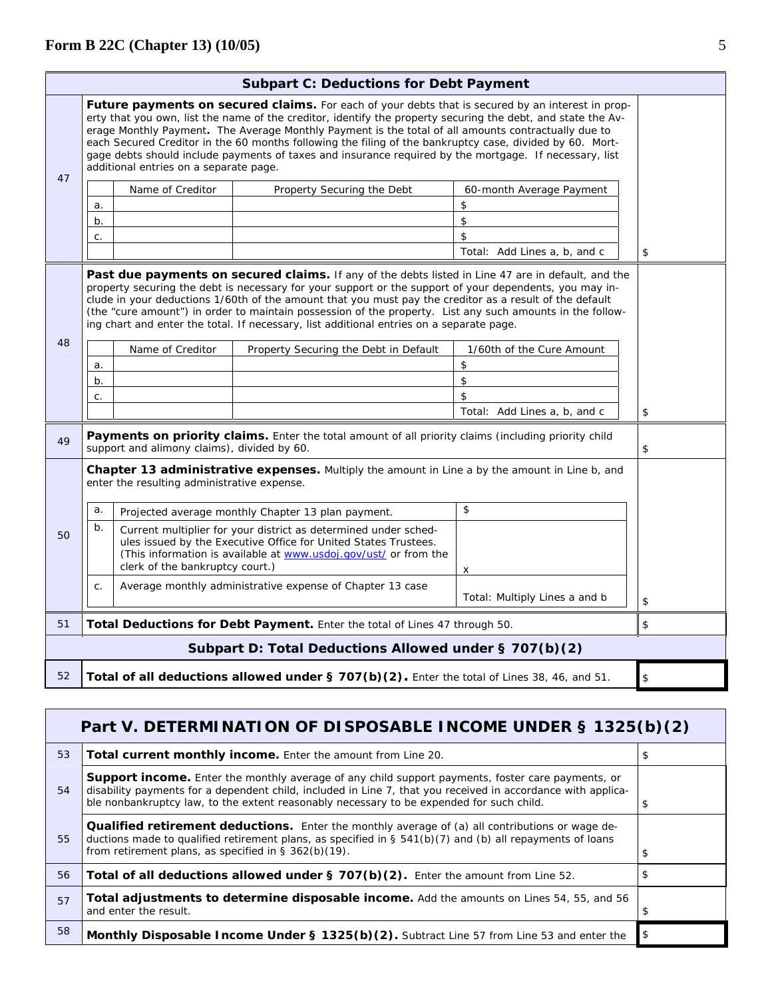|                                                                                                                                                                                                                                                                                                                                                                                                                                                                                                                                                                                          | <b>Subpart C: Deductions for Debt Payment</b>                                                     |                                             |                                                                                                                                                                                                        |                               |    |
|------------------------------------------------------------------------------------------------------------------------------------------------------------------------------------------------------------------------------------------------------------------------------------------------------------------------------------------------------------------------------------------------------------------------------------------------------------------------------------------------------------------------------------------------------------------------------------------|---------------------------------------------------------------------------------------------------|---------------------------------------------|--------------------------------------------------------------------------------------------------------------------------------------------------------------------------------------------------------|-------------------------------|----|
| Future payments on secured claims. For each of your debts that is secured by an interest in prop-<br>erty that you own, list the name of the creditor, identify the property securing the debt, and state the Av-<br>erage Monthly Payment. The Average Monthly Payment is the total of all amounts contractually due to<br>each Secured Creditor in the 60 months following the filing of the bankruptcy case, divided by 60. Mort-<br>gage debts should include payments of taxes and insurance required by the mortgage. If necessary, list<br>additional entries on a separate page. |                                                                                                   |                                             |                                                                                                                                                                                                        |                               |    |
| 47                                                                                                                                                                                                                                                                                                                                                                                                                                                                                                                                                                                       |                                                                                                   | Name of Creditor                            | Property Securing the Debt                                                                                                                                                                             | 60-month Average Payment      |    |
|                                                                                                                                                                                                                                                                                                                                                                                                                                                                                                                                                                                          | a.                                                                                                |                                             |                                                                                                                                                                                                        | \$                            |    |
|                                                                                                                                                                                                                                                                                                                                                                                                                                                                                                                                                                                          | b.                                                                                                |                                             |                                                                                                                                                                                                        | \$                            |    |
|                                                                                                                                                                                                                                                                                                                                                                                                                                                                                                                                                                                          | C.                                                                                                |                                             |                                                                                                                                                                                                        | \$                            |    |
|                                                                                                                                                                                                                                                                                                                                                                                                                                                                                                                                                                                          |                                                                                                   |                                             |                                                                                                                                                                                                        | Total: Add Lines a, b, and c  | \$ |
| Past due payments on secured claims. If any of the debts listed in Line 47 are in default, and the<br>property securing the debt is necessary for your support or the support of your dependents, you may in-<br>clude in your deductions 1/60th of the amount that you must pay the creditor as a result of the default<br>(the "cure amount") in order to maintain possession of the property. List any such amounts in the follow-<br>ing chart and enter the total. If necessary, list additional entries on a separate page.                                                        |                                                                                                   |                                             |                                                                                                                                                                                                        |                               |    |
| 48                                                                                                                                                                                                                                                                                                                                                                                                                                                                                                                                                                                       |                                                                                                   | Name of Creditor                            | Property Securing the Debt in Default                                                                                                                                                                  | 1/60th of the Cure Amount     |    |
|                                                                                                                                                                                                                                                                                                                                                                                                                                                                                                                                                                                          | a.                                                                                                |                                             |                                                                                                                                                                                                        | \$                            |    |
|                                                                                                                                                                                                                                                                                                                                                                                                                                                                                                                                                                                          | b.                                                                                                |                                             |                                                                                                                                                                                                        | \$                            |    |
|                                                                                                                                                                                                                                                                                                                                                                                                                                                                                                                                                                                          | C.                                                                                                |                                             |                                                                                                                                                                                                        | \$                            |    |
|                                                                                                                                                                                                                                                                                                                                                                                                                                                                                                                                                                                          |                                                                                                   |                                             |                                                                                                                                                                                                        | Total: Add Lines a, b, and c  | \$ |
| 49                                                                                                                                                                                                                                                                                                                                                                                                                                                                                                                                                                                       |                                                                                                   | support and alimony claims), divided by 60. | Payments on priority claims. Enter the total amount of all priority claims (including priority child                                                                                                   |                               | \$ |
|                                                                                                                                                                                                                                                                                                                                                                                                                                                                                                                                                                                          |                                                                                                   | enter the resulting administrative expense. | Chapter 13 administrative expenses. Multiply the amount in Line a by the amount in Line b, and                                                                                                         |                               |    |
|                                                                                                                                                                                                                                                                                                                                                                                                                                                                                                                                                                                          | a.                                                                                                |                                             | Projected average monthly Chapter 13 plan payment.                                                                                                                                                     | \$                            |    |
| 50                                                                                                                                                                                                                                                                                                                                                                                                                                                                                                                                                                                       | b.                                                                                                | clerk of the bankruptcy court.)             | Current multiplier for your district as determined under sched-<br>ules issued by the Executive Office for United States Trustees.<br>(This information is available at www.usdoj.gov/ust/ or from the | х                             |    |
|                                                                                                                                                                                                                                                                                                                                                                                                                                                                                                                                                                                          | C.                                                                                                |                                             | Average monthly administrative expense of Chapter 13 case                                                                                                                                              | Total: Multiply Lines a and b | \$ |
| 51                                                                                                                                                                                                                                                                                                                                                                                                                                                                                                                                                                                       |                                                                                                   |                                             | Total Deductions for Debt Payment. Enter the total of Lines 47 through 50.                                                                                                                             |                               | \$ |
|                                                                                                                                                                                                                                                                                                                                                                                                                                                                                                                                                                                          |                                                                                                   |                                             | Subpart D: Total Deductions Allowed under § 707(b)(2)                                                                                                                                                  |                               |    |
| 52                                                                                                                                                                                                                                                                                                                                                                                                                                                                                                                                                                                       | Total of all deductions allowed under § 707(b)(2). Enter the total of Lines 38, 46, and 51.<br>\$ |                                             |                                                                                                                                                                                                        |                               |    |

|    | Part V. DETERMINATION OF DISPOSABLE INCOME UNDER § 1325(b)(2)                                                                                                                                                                                                                                                 |    |  |
|----|---------------------------------------------------------------------------------------------------------------------------------------------------------------------------------------------------------------------------------------------------------------------------------------------------------------|----|--|
| 53 | <b>Total current monthly income.</b> Enter the amount from Line 20.                                                                                                                                                                                                                                           | \$ |  |
| 54 | Support income. Enter the monthly average of any child support payments, foster care payments, or<br>disability payments for a dependent child, included in Line 7, that you received in accordance with applica-<br>ble nonbankruptcy law, to the extent reasonably necessary to be expended for such child. |    |  |
| 55 | Qualified retirement deductions. Enter the monthly average of (a) all contributions or wage de-<br>ductions made to qualified retirement plans, as specified in $\S$ 541(b)(7) and (b) all repayments of loans<br>from retirement plans, as specified in $\S$ 362(b)(19).                                     |    |  |
| 56 | Total of all deductions allowed under § 707(b)(2). Enter the amount from Line 52.                                                                                                                                                                                                                             |    |  |
| 57 | Total adjustments to determine disposable income. Add the amounts on Lines 54, 55, and 56<br>and enter the result.                                                                                                                                                                                            | \$ |  |
| 58 | Monthly Disposable Income Under § 1325(b)(2). Subtract Line 57 from Line 53 and enter the                                                                                                                                                                                                                     | \$ |  |